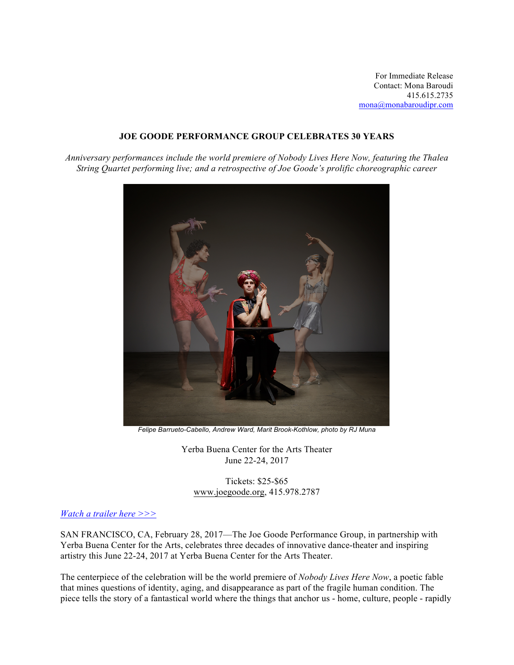For Immediate Release Contact: Mona Baroudi 415.615.2735 mona@monabaroudipr.com

## **JOE GOODE PERFORMANCE GROUP CELEBRATES 30 YEARS**

*Anniversary performances include the world premiere of Nobody Lives Here Now, featuring the Thalea String Quartet performing live; and a retrospective of Joe Goode's prolific choreographic career*



*Felipe Barrueto-Cabello, Andrew Ward, Marit Brook-Kothlow, photo by RJ Muna*

Yerba Buena Center for the Arts Theater June 22-24, 2017

Tickets: \$25-\$65 www.joegoode.org, 415.978.2787

## *Watch a trailer here >>>*

SAN FRANCISCO, CA, February 28, 2017—The Joe Goode Performance Group, in partnership with Yerba Buena Center for the Arts, celebrates three decades of innovative dance-theater and inspiring artistry this June 22-24, 2017 at Yerba Buena Center for the Arts Theater.

The centerpiece of the celebration will be the world premiere of *Nobody Lives Here Now*, a poetic fable that mines questions of identity, aging, and disappearance as part of the fragile human condition. The piece tells the story of a fantastical world where the things that anchor us - home, culture, people - rapidly